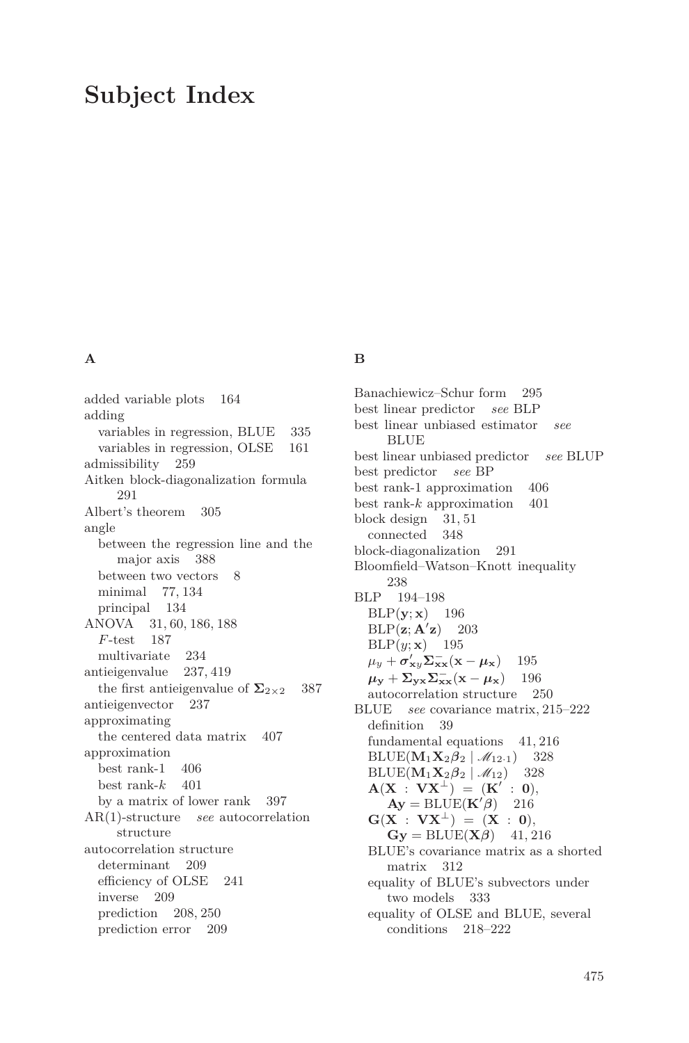# **Subject Index**

## **A**

added variable plots 164 adding variables in regression, BLUE 335 variables in regression, OLSE 161 admissibility 259 Aitken block-diagonalization formula 291 Albert's theorem 305 angle between the regression line and the major axis 388 between two vectors 8 minimal 77, 134 principal 134 ANOVA 31, 60, 186, 188 *F*-test 187 multivariate 234 antieigenvalue 237, 419 the first antieigenvalue of  $\Sigma_{2\times2}$  387 antieigenvector 237 approximating the centered data matrix 407 approximation best rank-1 406 best rank- $k$  401 by a matrix of lower rank 397 AR(1)-structure *see* autocorrelation structure autocorrelation structure determinant 209 efficiency of OLSE 241 inverse 209 prediction 208, 250 prediction error 209

# **B**

Banachiewicz–Schur form 295 best linear predictor *see* BLP best linear unbiased estimator *see* BLUE best linear unbiased predictor *see* BLUP best predictor *see* BP best rank-1 approximation 406 best rank-*k* approximation 401 block design 31, 51 connected 348 block-diagonalization 291 Bloomfield–Watson–Knott inequality 238 BLP 194–198  $BLP(y; x)$  196  $BLP(\mathbf{z}; \mathbf{A}^{\prime} \mathbf{z})$ **z**) 203  $BLP(y; \mathbf{x})$  195  $\mu_y + \sigma'_{xy} \Sigma_{xx}^- (\mathbf{x} - \mu_x)$  195  $\mu_y + \Sigma_{yx} \Sigma_{xx}^- (\mathbf{x} - \mu_x)$  196 autocorrelation structure 250 BLUE *see* covariance matrix, 215–222 definition 39 fundamental equations 41, 216  $BLUE(M_1X_2\beta_2 | \mathcal{M}_{12\cdot 1})$  328  $BLUE(\mathbf{M}_1\mathbf{X}_2\boldsymbol{\beta}_2 | \mathcal{M}_{12})$  328  ${\bf A}({\bf X} \; : \; {\bf V}{\bf X}^\perp) \; = \; ({\bf K}' \; : \; {\bf 0}),$  $\mathbf{A}\mathbf{y} = \text{BLE}(\mathbf{K}'\boldsymbol{\beta})$  216  $G(X : VX^{\perp}) = (X : 0),$  $\mathbf{Gy} = \text{BLE}(\mathbf{X}\boldsymbol{\beta})$  41, 216 BLUE's covariance matrix as a shorted matrix 312 equality of BLUE's subvectors under two models 333 equality of OLSE and BLUE, several conditions 218–222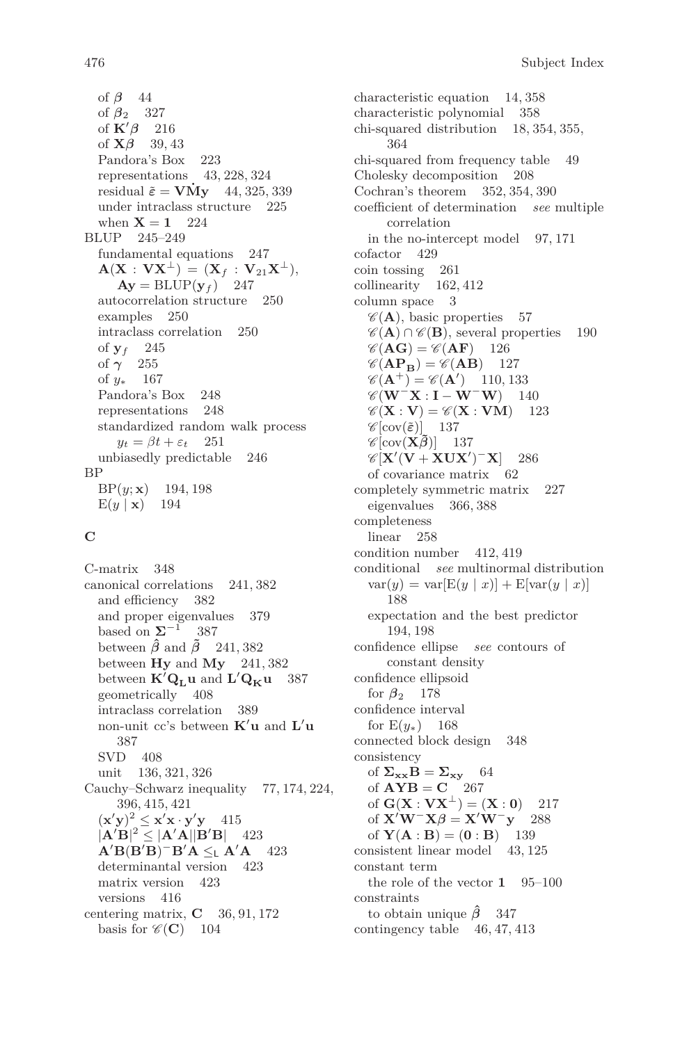of *β* 44 of *β*<sup>2</sup> 327 of  $\mathbf{K}'\boldsymbol{\beta}$  216 of  $\mathbf{X}\boldsymbol{\beta}$  39, 43 Pandora's Box 223 representations 43, 228, 324 residual  $\tilde{\varepsilon}$  = **VMy** 44, 325, 339 under intraclass structure 225 when  $X = 1$  224 BLUP 245–249 fundamental equations 247  ${\bf A}({\bf X}:{\bf V}{\bf X}^{\perp})=({\bf X}_f:{\bf V}_{21}{\bf X}^{\perp}),$  $\mathbf{A}\mathbf{y} = \text{BLUP}(\mathbf{y}_f)$  247 autocorrelation structure 250 examples 250 intraclass correlation 250 of  $y_f$  245 of *γ* 255 of *y*<sup>∗</sup> 167 Pandora's Box 248 representations 248 standardized random walk process  $y_t = \beta t + \varepsilon_t$  251 unbiasedly predictable 246 BP BP(*y*; **x**) 194, 198  $E(y | \mathbf{x})$  194

#### **C**

C-matrix 348 canonical correlations 241, 382 and efficiency 382 and proper eigenvalues 379 based on  $\Sigma^{-1}$  387 between  $\hat{\beta}$  and  $\tilde{\beta}$  241, 382 between **Hy** and **My** 241, 382 between  $\mathbf{K}'\mathbf{Q}_\mathbf{L}\mathbf{u}$  and  $\mathbf{L}'\mathbf{Q}_\mathbf{K}\mathbf{u}$  387 geometrically 408 intraclass correlation 389 non-unit cc's between  $\mathbf{K}'\mathbf{u}$  and  $\mathbf{L}'\mathbf{u}$ 387 SVD 408 unit 136, 321, 326 Cauchy–Schwarz inequality 77, 174, 224, 396, 415, 421  $(\mathbf{x}'\mathbf{y})^2 \leq \mathbf{x}'\mathbf{x} \cdot \mathbf{y}'\mathbf{y}$  415  $|{\bf A}'{\bf B}|^2 \le |{\bf A}'{\bf A}||{\bf B}'{\bf B}|$  423  $\mathbf{A}'\mathbf{B}(\mathbf{B}'\mathbf{B})^-\mathbf{B}'\mathbf{A} \leq_{\mathsf{L}} \mathbf{A}'\mathbf{A}$  423 determinantal version 423 matrix version 423 versions 416 centering matrix, **C** 36, 91, 172 basis for  $\mathcal{C}(\mathbf{C})$  104

characteristic equation 14, 358 characteristic polynomial 358 chi-squared distribution 18, 354, 355, 364 chi-squared from frequency table 49 Cholesky decomposition 208 Cochran's theorem 352, 354, 390 coefficient of determination *see* multiple correlation in the no-intercept model 97, 171 cofactor 429 coin tossing 261 collinearity 162, 412 column space 3  $\mathscr{C}(\mathbf{A})$ , basic properties 57  $\mathscr{C}(\mathbf{A}) \cap \mathscr{C}(\mathbf{B})$ , several properties 190  $\mathscr{C}(\mathbf{AG}) = \mathscr{C}(\mathbf{AF})$  126  $\mathscr{C}(\mathbf{AP}_{\mathbf{B}}) = \mathscr{C}(\mathbf{AB})$  127  $\mathscr{C}(\mathbf{A}^+) = \mathscr{C}(\mathbf{A}')$  110, 133  $\mathscr{C}(\mathbf{W}^-\mathbf{X}\cdot\mathbf{I} - \mathbf{W}^-\mathbf{W})$  140  $\mathscr{C}(\mathbf{X} : \mathbf{V}) = \mathscr{C}(\mathbf{X} : \mathbf{V}\mathbf{M})$  123  $\mathscr{C}[\text{cov}(\tilde{\boldsymbol{\varepsilon}})]$  137  $\mathscr{C}[\text{cov}(\mathbf{X}\tilde{\boldsymbol{\beta}})]$  137  $\mathscr{C}[\mathbf{X}'(\mathbf{V} + \mathbf{XUX}')^T\mathbf{X}]$  286 of covariance matrix 62 completely symmetric matrix 227 eigenvalues 366, 388 completeness linear 258 condition number 412, 419 conditional *see* multinormal distribution  $var(y) = var[E(y | x)] + E[var(y | x)]$ 188 expectation and the best predictor 194, 198 confidence ellipse *see* contours of constant density confidence ellipsoid for  $\beta_2$  178 confidence interval for  $E(y_*)$  168 connected block design 348 consistency of  $\Sigma_{\mathbf{x}\mathbf{x}}\mathbf{B} = \Sigma_{\mathbf{x}\mathbf{y}}$  64 of  $AYB = C$  267 of  $G(X : VX^{\perp}) = (X : 0)$  217 of  $\mathbf{X}'\mathbf{W}^-\mathbf{X}\boldsymbol{\beta} = \mathbf{X}'\mathbf{W}^-\mathbf{y}'$  288 of  $Y(A : B) = (0 : B)$  139 consistent linear model 43, 125 constant term the role of the vector **1** 95–100 constraints to obtain unique *β***ˆ** 347 contingency table 46, 47, 413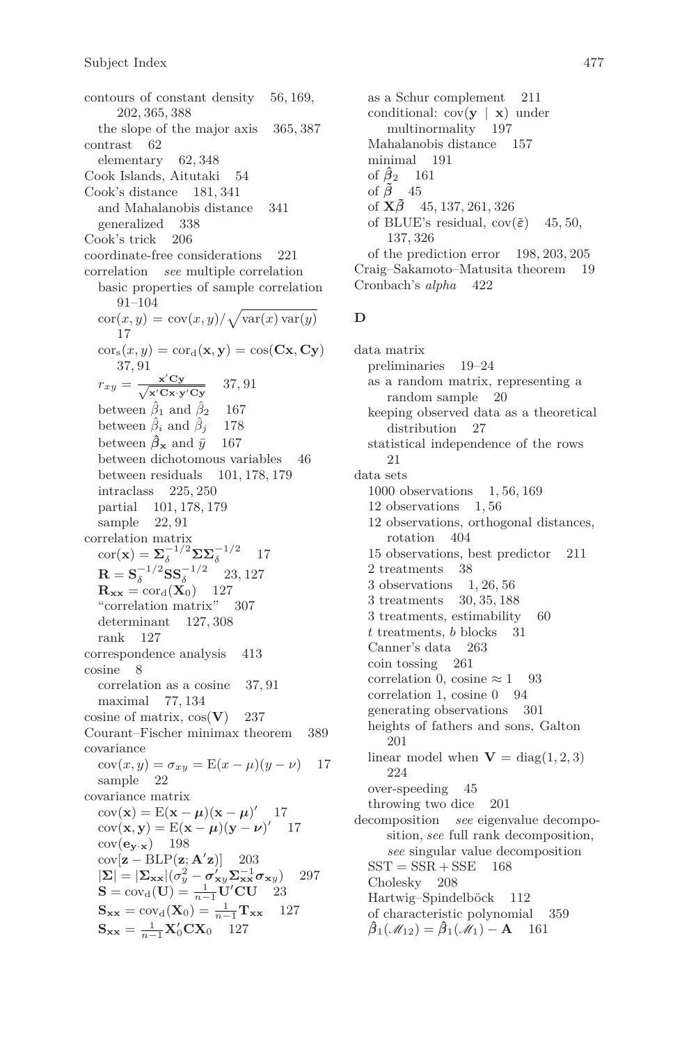contours of constant density 56, 169, 202, 365, 388 the slope of the major axis 365, 387 contrast 62 elementary 62, 348 Cook Islands, Aitutaki 54 Cook's distance 181, 341 and Mahalanobis distance 341<br>
generalized 338 generalized 338 Cook's trick 206 coordinate-free considerations 221 correlation *see* multiple correlation basic properties of sample correlation 91–104  $\operatorname{cor}(x, y) = \operatorname{cov}(x, y) / \sqrt{\operatorname{var}(x) \operatorname{var}(y)}$ 17  $\operatorname{cor}_{s}(x, y) = \operatorname{cor}_{d}(\mathbf{x}, \mathbf{y}) = \operatorname{cos}(\mathbf{C}\mathbf{x}, \mathbf{C}\mathbf{y})$ 37, 91  $r_{xy} = \frac{\mathbf{x}'\mathbf{C}\mathbf{y}}{\sqrt{\mathbf{x}'\mathbf{C}\mathbf{x}+\mathbf{C}}\mathbf{C}}$ **x**0**Cx**·**y**0**Cy** 37, 91 between  $\hat{\beta}_1$  and  $\hat{\beta}_2$  167 between  $\hat{\beta}_i$  and  $\hat{\beta}_j$  178 between  $\hat{\beta}_\mathbf{x}$  and  $\bar{y}$  167 between dichotomous variables 46 between residuals 101, 178, 179 intraclass 225, 250 partial 101, 178, 179 sample 22, 91 correlation matrix  $\operatorname{cor}(\mathbf{x}) = \mathbf{\Sigma}_{\delta}^{-1/2} \mathbf{\Sigma} \mathbf{\Sigma}_{\delta}^{-1/2}$ 17  $\mathbf{R} = \mathbf{S}_{\delta}^{-1/2} \mathbf{S} \mathbf{S}_{\delta}^{-1/2}$ 23, 127  $\mathbf{R}_{\mathbf{xx}} = \text{cor}_{\mathbf{d}}(\mathbf{X}_0)$  127 "correlation matrix" 307 determinant 127, 308 rank 127 correspondence analysis 413 cosine 8 correlation as a cosine 37, 91 maximal 77, 134 cosine of matrix, cos(**V**) 237 Courant–Fischer minimax theorem 389 covariance  $cov(x, y) = \sigma_{xy} = E(x - \mu)(y - \nu)$  17 sample 22 covariance matrix  $cov(\mathbf{x}) = E(\mathbf{x} - \boldsymbol{\mu})(\mathbf{x} - \boldsymbol{\mu})'$  17  $cov(x, y) = E(x - \mu)(y - \nu)'$  17  $cov(\mathbf{e}_{\mathbf{y} \cdot \mathbf{x}})$  198  $cov[\mathbf{z} - BLP(\mathbf{z}; \mathbf{A}^{\prime} \mathbf{z})]$  203  $|\mathbf{\Sigma}| = |\mathbf{\Sigma}_{\mathbf{xx}}|(\sigma_y^2 - \sigma_{xy}^{\prime} \mathbf{\Sigma}_{\mathbf{xx}}^{-1} \sigma_{xy})$  297  $S = cov_d(U) = \frac{1}{n-1}U'CU$  23  $S_{xx} = cov_d(X_0) = \frac{1}{n-1}T_{xx}$  127  $S_{xx} = \frac{1}{n-1} X_0' C X_0$  127

as a Schur complement 211 conditional:  $cov(y | x)$  under multinormality 197 Mahalanobis distance 157 minimal 191 of  $\hat{\beta}_2$  161 of  $\tilde{\beta}$  45 of **X***β***˜** 45, 137, 261, 326 of BLUE's residual,  $cov(\tilde{\varepsilon})$  45, 50, 137, 326 of the prediction error 198, 203, 205 Craig–Sakamoto–Matusita theorem 19 Cronbach's *alpha* 422

#### **D**

data matrix preliminaries 19–24 as a random matrix, representing a random sample 20 keeping observed data as a theoretical distribution 27 statistical independence of the rows 21 data sets 1000 observations 1, 56, 169 12 observations 1, 56 12 observations, orthogonal distances, rotation 404 15 observations, best predictor 211 2 treatments 38 3 observations 1, 26, 56 3 treatments 30, 35, 188 3 treatments, estimability 60 *t* treatments, *b* blocks 31 Canner's data 263 coin tossing 261 correlation 0, cosine  $\approx 1$  93 correlation 1, cosine 0 94 generating observations 301 heights of fathers and sons, Galton 201 linear model when  $V = diag(1, 2, 3)$ 224 over-speeding 45 throwing two dice 201 decomposition *see* eigenvalue decomposition, *see* full rank decomposition, *see* singular value decomposition  $SST = SSR + SSE$  168 Cholesky 208 Hartwig–Spindelböck 112 of characteristic polynomial 359  $\hat{\beta}_1(\mathcal{M}_{12}) = \hat{\beta}_1(\mathcal{M}_1) - \mathbf{A}$  161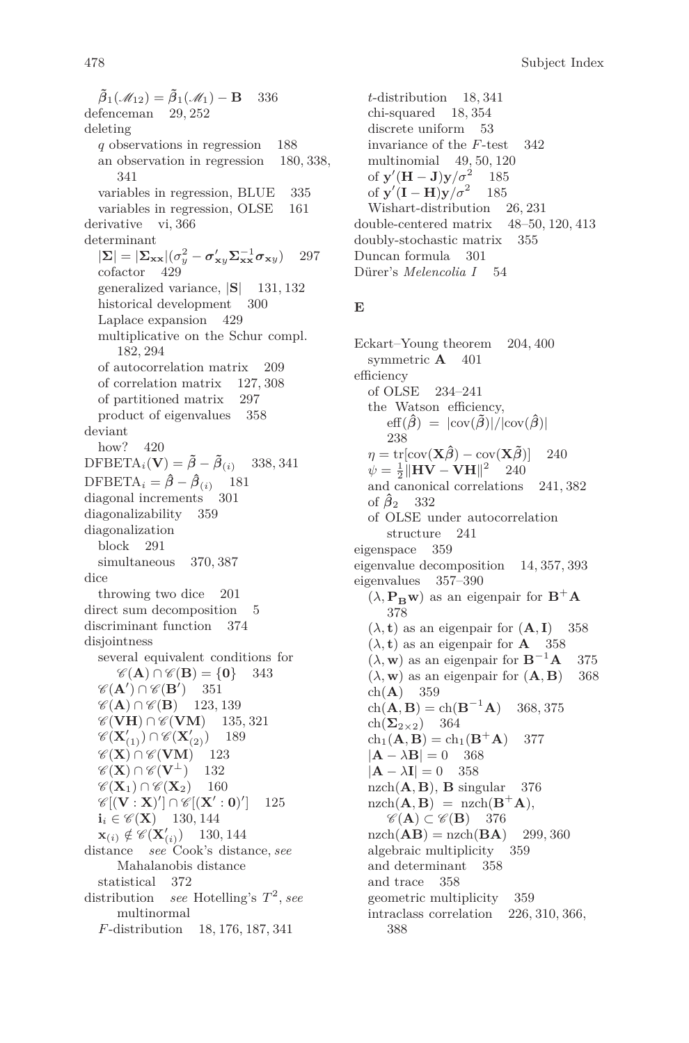478 Subject Index

 $\tilde{\beta}_1(\mathcal{M}_{12}) = \tilde{\beta}_1(\mathcal{M}_1) - \mathbf{B}$  336 defenceman 29, 252 deleting *q* observations in regression 188 an observation in regression 180, 338, 341 variables in regression, BLUE 335 variables in regression, OLSE 161 derivative vi, 366 determinant  $|\mathbf{\Sigma}| = |\mathbf{\Sigma}_{\mathbf{xx}}| (\sigma_y^2 - \sigma_{xy}^{\prime} \mathbf{\Sigma}_{\mathbf{xx}}^{-1} \sigma_{xy})$  297 cofactor 429 generalized variance, |**S**| 131, 132 historical development 300 Laplace expansion 429 multiplicative on the Schur compl. 182, 294 of autocorrelation matrix 209 of correlation matrix 127, 308 of partitioned matrix 297 product of eigenvalues 358 deviant how? 420  $DFBETA_i(\mathbf{V}) = \tilde{\beta} - \tilde{\beta}_{(i)}$  338, 341 DFBETA<sub>i</sub> =  $\hat{\beta} - \hat{\beta}_{(i)}$  181<br>diagonal increments 301 diagonal increments diagonalizability 359 diagonalization block 291 simultaneous 370, 387 dice throwing two dice 201 direct sum decomposition 5 discriminant function 374 disjointness several equivalent conditions for  $\mathscr{C}(\mathbf{A}) \cap \mathscr{C}(\mathbf{B}) = \{0\}$  343  $\mathscr{C}(\mathbf{A}') \cap \mathscr{C}(\mathbf{B}')$  351  $\mathscr{C}(\mathbf{A}) \cap \mathscr{C}(\mathbf{B})$  123, 139  $\mathscr{C}(\mathbf{V}\mathbf{H}) \cap \mathscr{C}(\mathbf{V}\mathbf{M})$  135, 321  $\mathscr{C}(\mathbf{X}'_{(1)}) \cap \mathscr{C}(\mathbf{X}'_{(2)})$  189  $\mathscr{C}(\mathbf{X}) \cap \mathscr{C}(\mathbf{V}\mathbf{M})$  123  $\mathscr{C}(\mathbf{X}) \cap \mathscr{C}(\mathbf{V}^{\perp})$  132  $\mathscr{C}(\mathbf{X}_1) \cap \mathscr{C}(\mathbf{X}_2)$  160  $\mathscr{C}[(\mathbf{V}:\mathbf{X})'] \cap \mathscr{C}[(\mathbf{X}':\mathbf{0})']$ ] 125  $i_i \in \mathcal{C}(\mathbf{X})$  130, 144  $\mathbf{x}_{(i)} \notin \mathscr{C}(\mathbf{X}'_{(i)})$  130, 144 distance *see* Cook's distance, *see* Mahalanobis distance statistical 372 distribution *see* Hotelling's *T* 2 , *see* multinormal *F*-distribution 18, 176, 187, 341

*t*-distribution 18, 341 chi-squared 18, 354 discrete uniform 53 invariance of the *F*-test 342 multinomial 49, 50, 120 of  $\mathbf{y}'(\mathbf{H} - \mathbf{J})\mathbf{y}/\sigma^2$  185 of  $y'(I - H)y/\sigma^2$  185 Wishart-distribution 26, 231 double-centered matrix 48–50, 120, 413 doubly-stochastic matrix 355 Duncan formula 301 Dürer's *Melencolia I* 54

## **E**

Eckart–Young theorem 204, 400 symmetric  $\mathbf{A}$  401 efficiency of OLSE 234–241 the Watson efficiency,  $\text{eff}(\hat{\beta}) = |\text{cov}(\tilde{\beta})|/|\text{cov}(\hat{\beta})|$ 238  $\eta = \text{tr}[\text{cov}(\mathbf{X}\hat{\boldsymbol{\beta}}) - \text{cov}(\mathbf{X}\tilde{\boldsymbol{\beta}})]$  240  $\psi = \frac{1}{2} ||{\bf HV} - {\bf VH}||^2$  240 and canonical correlations 241, 382 of  $\hat{\beta}_2$  332 of OLSE under autocorrelation structure 241 eigenspace 359 eigenvalue decomposition 14, 357, 393 eigenvalues 357–390  $(\lambda, \mathbf{P}_{\mathbf{B}} \mathbf{w})$  as an eigenpair for  $\mathbf{B}^+ \mathbf{A}$ 378  $(\lambda, t)$  as an eigenpair for  $(A, I)$  358  $(\lambda, t)$  as an eigenpair for **A** 358  $(\lambda, \mathbf{w})$  as an eigenpair for  $\mathbf{B}^{-1}\mathbf{A}$  375  $(\lambda, \mathbf{w})$  as an eigenpair for  $(\mathbf{A}, \mathbf{B})$  368 ch(**A**) 359  $ch(\mathbf{A}, \mathbf{B}) = ch(\mathbf{B}^{-1}\mathbf{A})$ <sup>−</sup><sup>1</sup>**A**) 368, 375  $ch(\Sigma_{2\times2})$  364  $ch_1(A, B) = ch_1(B^+A)$  377  $|{\bf A} - \lambda {\bf B}| = 0$  368  $|{\bf A} - \lambda {\bf I}| = 0$  358  $nzch(\mathbf{A}, \mathbf{B})$ , **B** singular 376  $\text{nzch}(\mathbf{A}, \mathbf{B}) = \text{nzch}(\mathbf{B}^+ \mathbf{A}),$  $\mathscr{C}(\mathbf{A}) \subset \mathscr{C}(\mathbf{B})$  376  $nzch(AB) = nzch(BA)$  299, 360 algebraic multiplicity 359 and determinant 358 and trace 358 geometric multiplicity 359 intraclass correlation 226, 310, 366, 388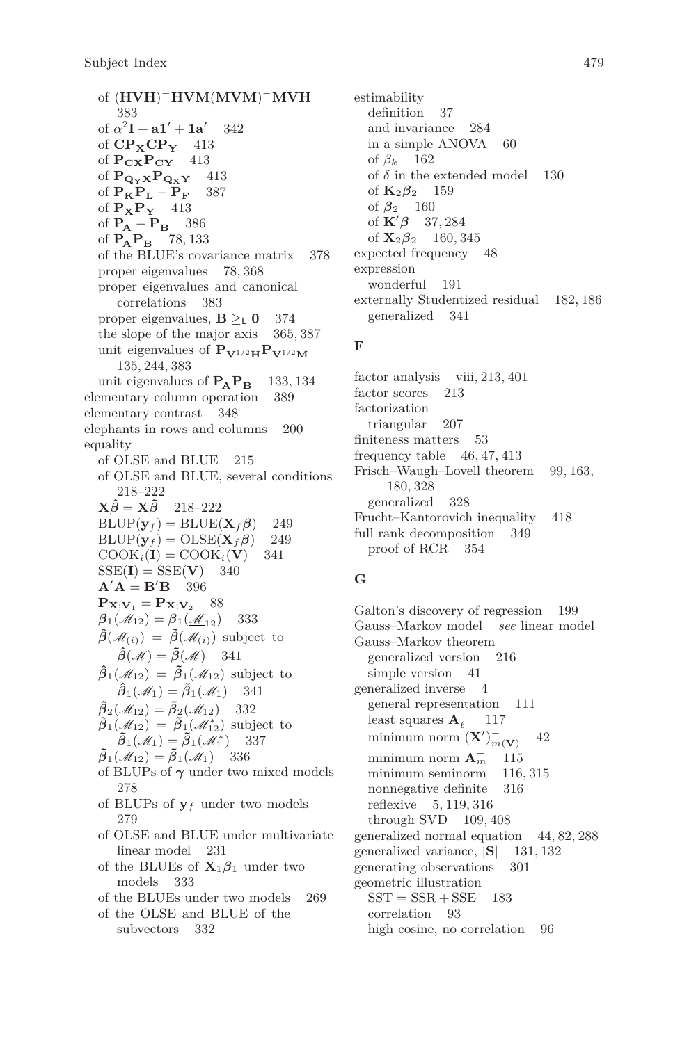of (**HVH**) <sup>−</sup>**HVM**(**MVM**) <sup>−</sup>**MVH** 383 of  $\alpha^2 \mathbf{I} + \mathbf{a} \mathbf{1}' + \mathbf{1} \mathbf{a}'$ 342 of **CPXCP<sup>Y</sup>** 413 of **PCXPCY** 413 of  $\mathbf{P}_{\mathbf{Q}_{\mathbf{Y}}}\mathbf{x}\mathbf{P}_{\mathbf{Q}_{\mathbf{X}}}\mathbf{Y} = 413$ <br>of  $\mathbf{P}_{\mathbf{Y}}\mathbf{P}_{\mathbf{Y}} - \mathbf{P}_{\mathbf{Y}} = 387$ of  $P_K P_L - P_F$  387 of **PXP<sup>Y</sup>** 413 of  $P_{\bf A} - P_{\bf B}$  386 of **PAP<sup>B</sup>** 78, 133 of the BLUE's covariance matrix 378 proper eigenvalues 78, 368 proper eigenvalues and canonical correlations 383 proper eigenvalues,  $\mathbf{B} \geq_{\mathsf{L}} \mathbf{0}$  374 the slope of the major axis 365, 387 unit eigenvalues of  $P_{V^{1/2}H}P_{V^{1/2}M}$ 135, 244, 383 unit eigenvalues of  $P_{\text{A}}P_{\text{B}}$  133, 134<br>ementary column operation 389 elementary column operation 389 elementary contrast 348 elephants in rows and columns 200 equality of OLSE and BLUE 215 of OLSE and BLUE, several conditions 218–222  $\mathbf{X}\hat{\boldsymbol{\beta}} = \mathbf{X}\tilde{\boldsymbol{\beta}}$  218–222  $BLUP(\mathbf{y}_f) = BLUE(\mathbf{X}_f\boldsymbol{\beta})$  249  $BLUP(y_f) = OLSE(\mathbf{X}_f\boldsymbol{\beta})$  249  $COOK_i(I) = COOK_i(V)$  341  $SSE(I) = SSE(V)$  340  $A' A = B' B$  396  $P_{\mathbf{X};\mathbf{V}_1} = P_{\mathbf{X};\mathbf{V}_2}$  88  $\beta_1(\mathcal{M}_{12}) = \beta_1(\mathcal{M}_{12})$  333  $\hat{\beta}(\mathcal{M}_{(i)}) = \hat{\beta}(\mathcal{M}_{(i)})$  subject to  $\hat{\beta}(\mathcal{M}) = \tilde{\beta}(\mathcal{M})$  341  $\hat{\beta}_1(\mathscr{M}_{12}) = \tilde{\beta}_1(\mathscr{M}_{12})$  subject to  $\hat{\beta}_1(\mathscr{M}_1) = \tilde{\beta}_1(\mathscr{M}_1)$  341  $\hat{\beta}_2(\mathscr{M}_{12}) = \tilde{\beta}_2(\mathscr{M}_{12})$  332  $\tilde{\beta}_1(\mathcal{M}_{12}) = \tilde{\beta}_1(\mathcal{M}_{12}^*)$  subject to  $\widetilde{\boldsymbol{\beta}}_1(\mathscr{M}_1) = \widetilde{\boldsymbol{\beta}}_1(\mathscr{M}_1^*)$ ) 337  $\tilde{\beta}_1(\mathscr{M}_{12}) = \tilde{\beta}_1(\mathscr{M}_1)$  336 of BLUPs of *γ* under two mixed models 278 of BLUPs of  $y_f$  under two models 279 of OLSE and BLUE under multivariate linear model 231 of the BLUEs of  $X_1\beta_1$  under two models 333 of the BLUEs under two models 269 of the OLSE and BLUE of the subvectors 332

estimability definition 37 and invariance 284 in a simple ANOVA 60 of *β<sup>k</sup>* 162 of  $\delta$  in the extended model 130 of **K**2*β*<sup>2</sup> 159 of  $\beta_2$  160 of  $\mathbf{K}'\boldsymbol{\beta}$  37, 284 of  ${\bf X}_2 \boldsymbol{\beta}_2$  160, 345 expected frequency 48 expression wonderful 191 externally Studentized residual 182, 186 generalized 341

#### **F**

factor analysis viii, 213, 401 factor scores 213 factorization triangular 207 finiteness matters 53 frequency table 46, 47, 413 Frisch–Waugh–Lovell theorem 99, 163, 180, 328 generalized 328 Frucht–Kantorovich inequality 418 full rank decomposition 349 proof of RCR 354

# **G**

Galton's discovery of regression 199 Gauss–Markov model *see* linear model Gauss–Markov theorem generalized version 216 simple version 41 generalized inverse 4 general representation 111 least squares  $\mathbf{A}_\ell^-$ 117 minimum norm  $(X')_{m(\mathbf{V})}^{-}$ 42 minimum norm  $A_m^$ *<sup>m</sup>* 115 minimum seminorm nonnegative definite 316 reflexive 5, 119, 316 through SVD 109, 408 generalized normal equation 44, 82, 288 generalized variance, |**S**| 131, 132 generating observations 301 geometric illustration  $SST = SSR + SSE$  183 correlation 93 high cosine, no correlation 96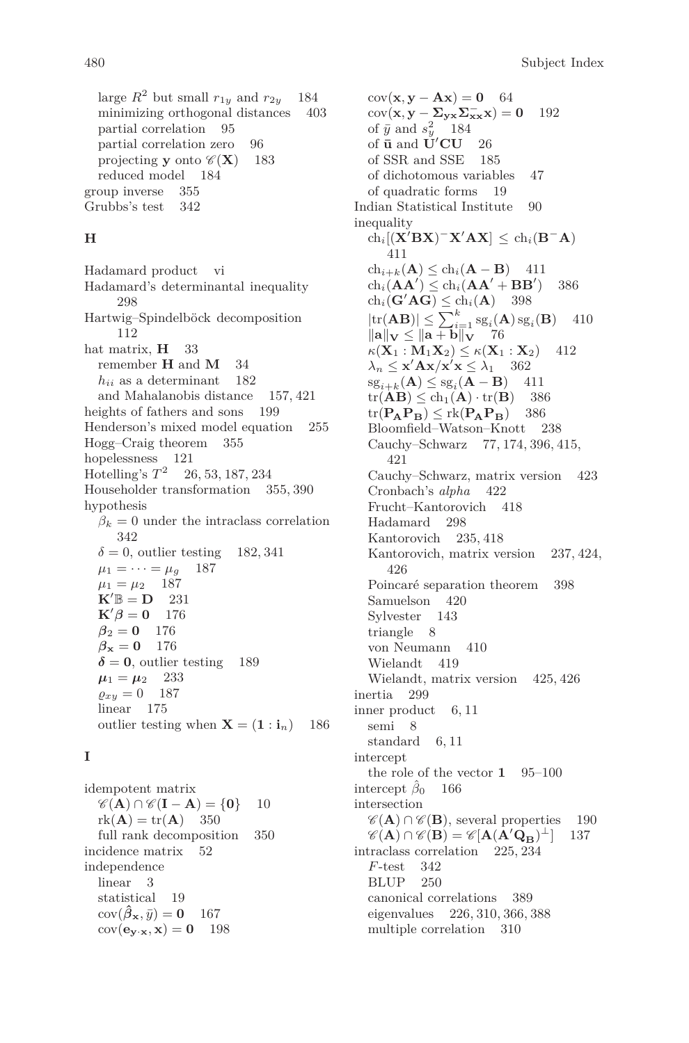large  $R^2$  but small  $r_{1y}$  and  $r_{2y}$  184 minimizing orthogonal distances 403 partial correlation 95 partial correlation zero 96 projecting **y** onto  $\mathscr{C}(\mathbf{X})$  183 reduced model 184 group inverse 355 Grubbs's test 342

#### **H**

Hadamard product vi Hadamard's determinantal inequality 298 Hartwig–Spindelböck decomposition 112 hat matrix, **H** 33 remember **H** and **M** 34 *hii* as a determinant 182 and Mahalanobis distance 157, 421 heights of fathers and sons 199 Henderson's mixed model equation 255 Hogg–Craig theorem 355 hopelessness 121 Hotelling's *T* 2 26, 53, 187, 234 Householder transformation 355, 390 hypothesis  $\beta_k = 0$  under the intraclass correlation 342  $\delta = 0$ , outlier testing 182, 341  $\mu_1 = \cdots = \mu_q$  187  $\mu_1 = \mu_2$  187  $\mathbf{K}'\mathbb{B} = \mathbf{D}$  231  $\mathbf{K}'\boldsymbol{\beta} = \mathbf{0}$  176  $\beta_2 = 0$  176  $\beta_{\bf x} = 0$  176  $\delta = 0$ , outlier testing 189  $\mu_1 = \mu_2$  233  $\varrho_{xy} = 0$  187 linear 175 outlier testing when  $\mathbf{X} = (1 : \mathbf{i}_n)$  186

#### **I**

idempotent matrix  $\mathscr{C}(\mathbf{A}) \cap \mathscr{C}(\mathbf{I} - \mathbf{A}) = \{0\}$  10  $rk(\mathbf{A}) = tr(\mathbf{A})$  350 full rank decomposition 350 incidence matrix 52 independence linear 3 statistical 19  $cov(\hat{\beta}_\mathbf{x}, \bar{y}) = \mathbf{0}$  167  $cov(e_{y \cdot x}, x) = 0$  198

 $cov(x, y - Ax) = 0$  64  $cov(\mathbf{x}, \mathbf{y} - \sum_{\mathbf{y} \mathbf{x}} \sum_{\mathbf{x}}^{-1} \mathbf{x}) = 0$  192 of  $\bar{y}$  and  $s_y^2$  184 of  $\bar{u}$  and  $\tilde{U}'CU$  26 of SSR and SSE 185 of dichotomous variables 47 of quadratic forms 19 Indian Statistical Institute 90 inequality  $\mathrm{ch}_i[(\mathbf{X}'\mathbf{B}\mathbf{X})^-\mathbf{X}'\mathbf{A}\mathbf{X}] \leq \mathrm{ch}_i(\mathbf{B}^-\mathbf{A})$ 411  $ch_{i+k}(\mathbf{A}) \leq ch_i(\mathbf{A} - \mathbf{B})$  411  $ch_i(AA') \leq ch_i(AA' + BB')$ ) 386  $ch_i(\mathbf{G}'\mathbf{AG}) \leq ch_i(\mathbf{A})$  398  $|\text{tr}(\mathbf{AB})| \leq \sum_{i=1}^{k} s g_i(\mathbf{A}) s g_i(\mathbf{B})$  410  $\|\mathbf{a}\|_{\mathbf{V}} \leq \|\mathbf{a} + \mathbf{b}\|_{\mathbf{V}}$  76  $\kappa(\mathbf{X}_1 : \mathbf{M}_1 \mathbf{X}_2) \leq \kappa(\mathbf{X}_1 : \mathbf{X}_2)$  412  $\lambda_n \leq \mathbf{x}' \mathbf{A} \mathbf{x} / \mathbf{x}' \mathbf{x} \leq \lambda_1$  362  $sg_{i+k}(A) \leq sg_i(A - B)$  411  $tr(AB) \leq ch_1(A) \cdot tr(B)$  386  $tr(\mathbf{P_A P_B}) \leq rk(\mathbf{P_A P_B})$  386<br>Bloomfield–Watson–Knott 238  $B$ loomfield–Watson–Knott Cauchy–Schwarz 77, 174, 396, 415, 421 Cauchy–Schwarz, matrix version 423 Cronbach's *alpha* 422 Frucht–Kantorovich 418 **Hadamard** Kantorovich 235, 418 Kantorovich, matrix version 237, 424, 426 Poincaré separation theorem 398 Samuelson 420 Sylvester 143 triangle 8 von Neumann 410 Wielandt 419 Wielandt, matrix version 425, 426 inertia 299 inner product 6, 11 semi 8 standard 6, 11 intercept the role of the vector **1** 95–100 intercept  $\beta_0$  166 intersection  $\mathscr{C}(\mathbf{A}) \cap \mathscr{C}(\mathbf{B})$ , several properties 190  $\mathscr{C}(\mathbf{A}) \cap \mathscr{C}(\mathbf{B}) = \mathscr{C}[\mathbf{A}(\mathbf{A}^{\prime} \mathbf{Q}_{\mathbf{B}})^{\perp}]$ <sup>⊥</sup>] 137 intraclass correlation 225, 234 *F*-test 342 BLUP 250 canonical correlations 389 eigenvalues 226, 310, 366, 388 multiple correlation 310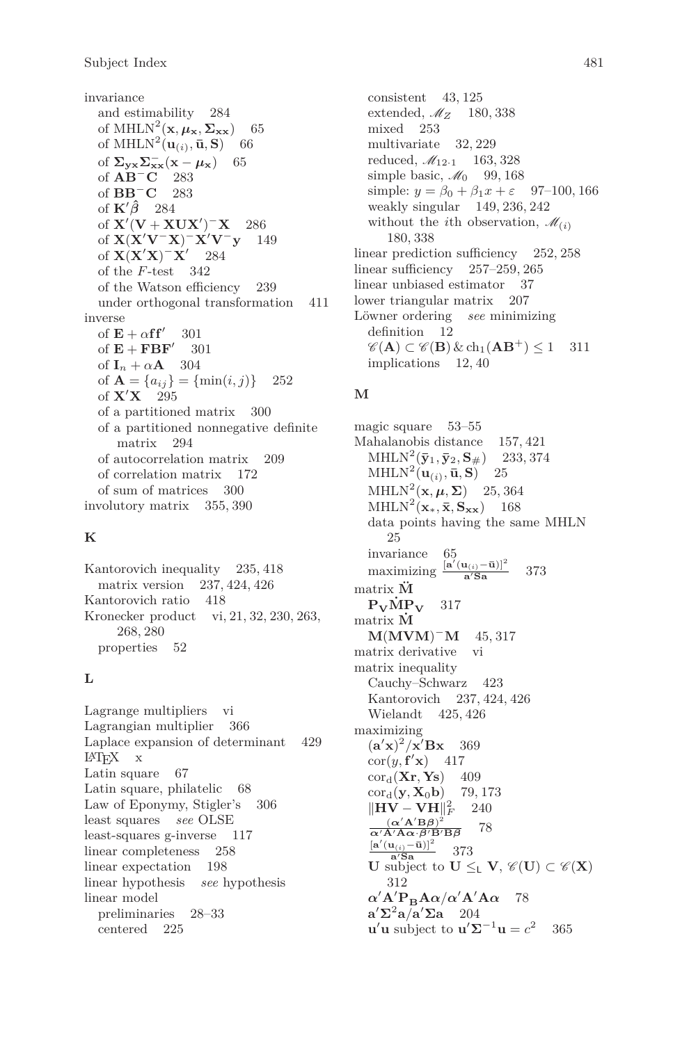invariance and estimability 284 of MHLN<sup>2</sup><sub>(</sub>**x***,*  $\mu_{\mathbf{x}}, \Sigma_{\mathbf{x}\mathbf{x}}$ ) 65 of MHLN<sup>2</sup> $(\mathbf{u}_{(i)}, \bar{\mathbf{u}}, \mathbf{S})$  66 of  $\Sigma_{\mathbf{y}\mathbf{x}}\Sigma_{\mathbf{x}\mathbf{x}}^{-}(\mathbf{x}-\boldsymbol{\mu}_{\mathbf{x}})$  65 of **AB**<sup>−</sup>**C** 283 of **BB**<sup>−</sup>**C** 283 of  $\mathbf{K}'\hat{\boldsymbol{\beta}}$  284 of  ${\bf X}'({\bf V} + {\bf XUX}')$ <sup>-</sup>X 286 of **X**(**X**<sup>0</sup>**V**<sup>−</sup>**X**) <sup>−</sup>**X**<sup>0</sup>**V**<sup>−</sup>**y** 149 of  $\mathbf{X}(\mathbf{X}'\mathbf{X})$ <sup>-</sup> $\mathbf{X}'$ 284 of the *F*-test 342 of the Watson efficiency 239 under orthogonal transformation 411 inverse of  $\mathbf{E} + \alpha \mathbf{f} \mathbf{f}'$ 301 of  $\mathbf{E} + \mathbf{FBF}^{\prime}$ 301 of  $I_n + \alpha A$  304 of  $\mathbf{A} = \{a_{ij}\} = \{\min(i, j)\}\$  252 of **X**<sup>0</sup>**X** 295 of a partitioned matrix 300 of a partitioned nonnegative definite matrix 294 of autocorrelation matrix 209 of correlation matrix 172 of sum of matrices 300 involutory matrix 355, 390

#### **K**

Kantorovich inequality 235, 418 matrix version 237, 424, 426 Kantorovich ratio 418 Kronecker product vi, 21, 32, 230, 263, 268, 280 properties 52

### **L**

Lagrange multipliers vi Lagrangian multiplier 366 Laplace expansion of determinant 429 LATEX x Latin square 67 Latin square, philatelic 68 Law of Eponymy, Stigler's 306 least squares *see* OLSE least-squares g-inverse 117 linear completeness 258 linear expectation 198 linear hypothesis *see* hypothesis linear model preliminaries 28–33 centered 225

consistent 43, 125 extended, M*<sup>Z</sup>* 180, 338 mixed 253 multivariate 32, 229 reduced, M12·<sup>1</sup> 163, 328 simple basic,  $\mathcal{M}_0$  99, 168 simple:  $y = \beta_0 + \beta_1 x + \epsilon$  97–100, 166 weakly singular 149, 236, 242 without the *i*th observation,  $\mathcal{M}_{(i)}$ 180, 338 linear prediction sufficiency 252, 258 linear sufficiency 257–259, 265 linear unbiased estimator 37 lower triangular matrix 207 Löwner ordering *see* minimizing definition 12  $\mathscr{C}(\mathbf{A}) \subset \mathscr{C}(\mathbf{B}) \& \ch_1(\mathbf{A}\mathbf{B}^+) \leq 1$  311 implications 12, 40

### **M**

magic square 53–55 Mahalanobis distance 157, 421  $MHLN^{2}(\bar{y}_{1}, \bar{y}_{2}, S_{\#})$  233, 374  $MHLN^2(\mathbf{u}_{(i)}, \bar{\mathbf{u}}, \mathbf{S})$  25 MHLN<sup>2</sup> $(\mathbf{x}, \boldsymbol{\mu}, \boldsymbol{\Sigma})$  25, 364  $MHLN^2(\mathbf{x}_*, \bar{\mathbf{x}}, \mathbf{S}_{\mathbf{x}\mathbf{x}})$  168 data points having the same MHLN 25 invariance 65  $\frac{\left[\mathbf{a}'(\mathbf{u}_{(i)}-\bar{\mathbf{u}})\right]^2}{\mathbf{a}'\mathbf{S}\mathbf{a}}$  373 matrix **M¨**  $P_V\dot{M}P_V$  317 matrix **M˙ M**(**MVM**) <sup>−</sup>**M** 45, 317 matrix derivative vi matrix inequality Cauchy–Schwarz 423 Kantorovich 237, 424, 426 Wielandt 425, 426 maximizing  $(a'x)^2/x'Bx$  369  $\operatorname{cor}(y, \mathbf{f}'\mathbf{x})$  417 cord(**Xr***,* **Ys**) 409  $\text{cor}_{d}(\mathbf{y}, \mathbf{X}_{0} \mathbf{b})$  79, 173  $\|\mathbf{HV} - \mathbf{V}\mathbf{H}\|_F^2$  240  $({\bf \alpha}'{\bf A}'{\bf B}{\boldsymbol \beta})^2$ *α*<sup>1</sup>**A**<sup>2</sup>**A***α*·*β*<sup>*1*</sup>**B**<sup>*β*</sup>**B***β* 78  $\frac{[a'(u_{(i)}-\bar{u})]^2}{a'_{\mathbf{S}\mathbf{a}}}$  373  $\mathbf{U}$  subject to  $\mathbf{U} \leq_{\mathsf{L}} \mathbf{V}, \mathscr{C}(\mathbf{U}) \subset \mathscr{C}(\mathbf{X})$ 312 *α*<sup>'</sup>**A**<sup>'</sup>**P**<sub>B</sub>**A***α*<sup>*/*</sup>α<sup>'</sup>**A**<sup>'</sup>**A**<sup>*α*</sup> 78 **a**<sup> $\sum$ </sup>**2a** $\sqrt{a}$ **204 u**<sup>'</sup>**u**</sup> subject to **u**<sup>'</sup> $\Sigma^{-1}$ **u** =  $c^2$ 365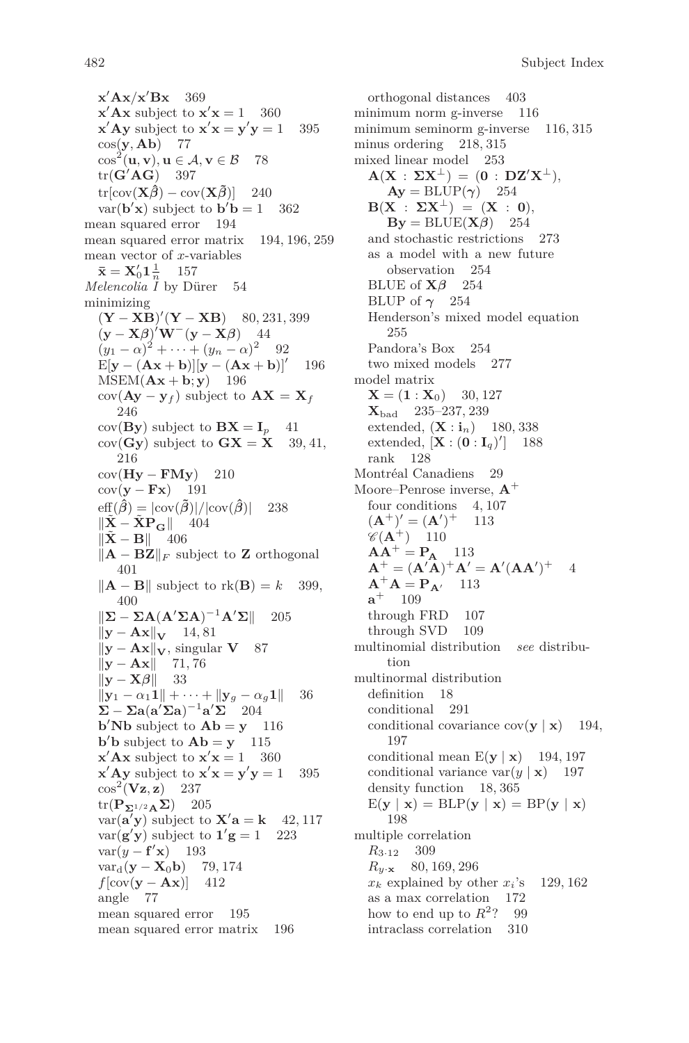**x** <sup>0</sup>**Ax***/***x** <sup>0</sup>**Bx** 369  $\mathbf{x}'$ **Ax** subject to  $\mathbf{x}'\mathbf{x} = 1$  360  $\mathbf{x}' \mathbf{A} \mathbf{y}$  subject to  $\mathbf{x}' \mathbf{x} = \mathbf{y}' \mathbf{y} = 1$  395 cos(**y***,* **Ab**) 77  $\cos^2(\mathbf{u}, \mathbf{v}), \mathbf{u} \in \mathcal{A}, \mathbf{v} \in \mathcal{B}$  78  $tr(G'AG)$  397  $tr[cov(\mathbf{X}\hat{\boldsymbol{\beta}}) - cov(\mathbf{X}\tilde{\boldsymbol{\beta}})]$  240  $var(\mathbf{b}'\mathbf{x})$  subject to  $\mathbf{b}'\mathbf{b} = 1$  362 mean squared error 194 mean squared error matrix 194, 196, 259 mean vector of *x*-variables  $\bar{\mathbf{x}} = \mathbf{X}'_0 \mathbf{1} \frac{1}{n}$  157 *Melencolia I* by Dürer 54 minimizing  $(Y - XB)'(Y - XB)$  80, 231, 399  $(\mathbf{y} - \mathbf{X}\boldsymbol{\beta})'\mathbf{W}^-(\mathbf{y} - \mathbf{X}\boldsymbol{\beta})$  44  $(y_1 - \alpha)^2 + \cdots + (y_n - \alpha)^2$  92  $\mathbf{E}[\mathbf{y} - (\mathbf{A}\mathbf{x} + \mathbf{b})][\mathbf{y} - (\mathbf{A}\mathbf{x} + \mathbf{b})]^T$ 196  $MSEM(Ax + b; y)$  196  $cov(\mathbf{A}\mathbf{y} - \mathbf{y}_f)$  subject to  $\mathbf{A}\mathbf{X} = \mathbf{X}_f$ 246  $cov(By)$  subject to  $BX = I_p$  41  $cov(Gy)$  subject to  $GX = X$  39, 41, 216 cov(**Hy** − **FMy**) 210  $cov(y - Fx)$  191  $\text{eff}(\hat{\beta}) = |\text{cov}(\tilde{\beta})|/|\text{cov}(\hat{\beta})|$  238  $\|\mathbf{X} - \mathbf{XP}_{\text{C}}\|$  404  $\|\tilde{\mathbf{X}} - \mathbf{B}\|$  406  $||$ **A** − **BZ** $||$ **F** subject to **Z** orthogonal 401  $\|\mathbf{A} - \mathbf{B}\|$  subject to rk(**B**) = *k* 399, 400  $\|\mathbf{\Sigma} - \mathbf{\Sigma} \mathbf{A} (\mathbf{A}' \mathbf{\Sigma} \mathbf{A})^{-1} \mathbf{A}' \mathbf{\Sigma} \|$  205  $||\mathbf{y} - \mathbf{A}\mathbf{x}||$ <sub>V</sub> 14, 81 k**y** − **Ax**k**V**, singular **V** 87  $\|\mathbf{y} - \mathbf{A}\mathbf{x}\|$  71, 76  $\|\mathbf{y} - \mathbf{X}\boldsymbol{\beta}\|$  33 **k**<sub>1</sub>**y**<sub>1</sub> −  $\alpha_1$ **1**|k + · · · + ||**y**<sub>*g*</sub> −  $\alpha_g$ **1**|k 36  $\sum -\sum a(a'\sum a)^{-1}a'\sum^2 204$ **b**<sup> $\prime$ </sup>**Nb** subject to  $\mathbf{Ab} = \mathbf{y}$  116  $\mathbf{b}'\mathbf{b}$  subject to  $\mathbf{Ab} = \mathbf{y}$  115  $\mathbf{x}'$ **Ax** subject to  $\mathbf{x}'\mathbf{x} = 1$  360  $\mathbf{x}' \mathbf{A} \mathbf{y}$  subject to  $\mathbf{x}' \mathbf{x} = \mathbf{y}' \mathbf{y} = 1$  395  $\cos^2$   $(Vz, z)$  237 tr(**PΣ**1*/*2**AΣ**) 205  $var(\mathbf{a}'\mathbf{y})$  subject to  $\mathbf{X}'\mathbf{a} = \mathbf{k}$  42, 117  $var(\mathbf{g}'\mathbf{y})$  subject to  $\mathbf{1}'\mathbf{g} = 1$  223  $var(y - f'x)$ <sup>0</sup>**x**) 193  $var_d(y - X_0b)$  79, 174 *f*[cov(**y** − **Ax**)] 412 angle 77 mean squared error 195 mean squared error matrix 196

orthogonal distances 403 minimum norm g-inverse 116 minimum seminorm g-inverse 116, 315 minus ordering 218, 315 mixed linear model 253  $\mathbf{A}(\mathbf{X} : \Sigma \mathbf{X}^{\perp}) = (\mathbf{0} : \mathbf{DZ}^{\prime} \mathbf{X}^{\perp}),$  $Ay = BLUP(\gamma)$  254 **B**(**X** :  $\Sigma$ **X**<sup> $\perp$ </sup>) = (**X** : **0**),  $\mathbf{By} = \text{BLE}(\mathbf{X}\boldsymbol{\beta})$  254 and stochastic restrictions 273 as a model with a new future observation 254 BLUE of  $\mathbf{X}\beta$  254 BLUP of  $\gamma$  254 Henderson's mixed model equation 255 Pandora's Box 254 two mixed models 277 model matrix  $X = (1 : X_0)$  30, 127 **X**bad 235–237, 239 extended,  $(X : i_n)$  180, 338 extended,  $[\mathbf{X} : (\mathbf{0} : \mathbf{I}_q)]$ ] 188 rank 128 Montréal Canadiens 29 Moore–Penrose inverse, **A**<sup>+</sup> four conditions 4, 107  $({\bf A}^+)^\prime = ({\bf A}^\prime)^+$  113  $\mathscr{C}(\mathbf{A}^+)$  110  $AA^+ = P_A$  113  $A^+ = (A'A)^+ A' = A'(AA')^+$  4  $A^{+}A = P_{A'}$  113  $a^+$  109 through FRD 107 through SVD 109 multinomial distribution *see* distribution multinormal distribution definition 18 conditional 291 conditional covariance  $cov(\mathbf{y} \mid \mathbf{x})$  194, 197 conditional mean  $E(y | x)$  194, 197 conditional variance var $(y | \mathbf{x})$  197 density function 18, 365  $E(\mathbf{y} \mid \mathbf{x}) = BLP(\mathbf{y} \mid \mathbf{x}) = BP(\mathbf{y} \mid \mathbf{x})$ 198 multiple correlation *R*3·<sup>12</sup> 309 *Ry*·**<sup>x</sup>** 80, 169, 296  $x_k$  explained by other  $x_i$ 's 129, 162 as a max correlation 172 how to end up to  $R^2$ ? 99 intraclass correlation 310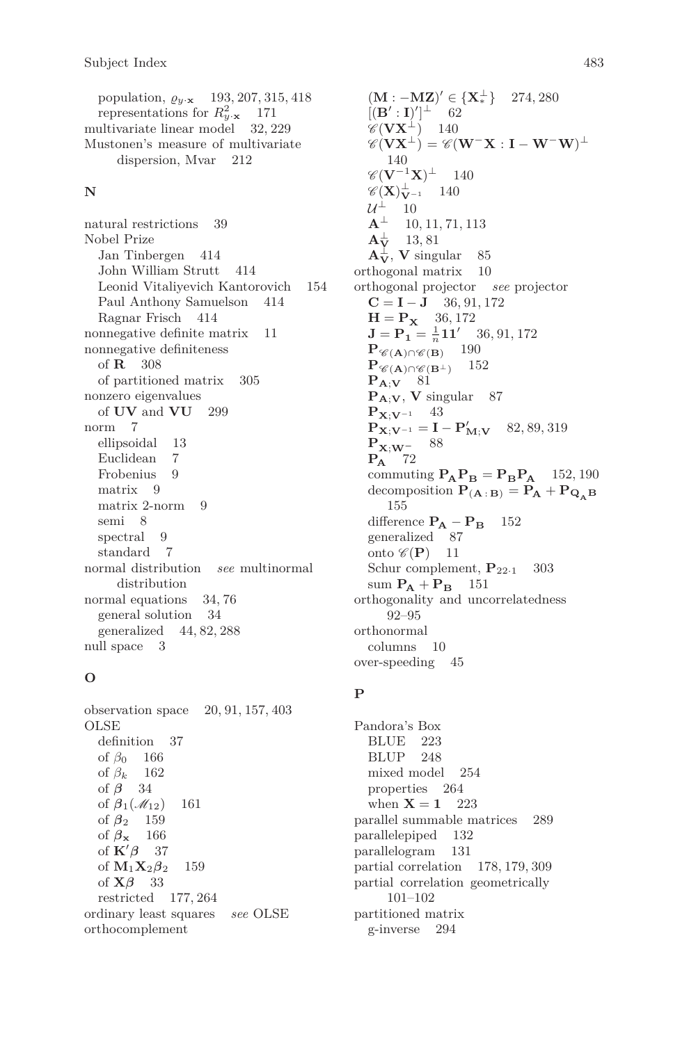population,  $\varrho_{y \cdot \mathbf{x}}$  193, 207, 315, 418 representations for  $R_{y\cdot\mathbf{x}}^2$  171 multivariate linear model 32, 229 Mustonen's measure of multivariate dispersion, Mvar 212

#### **N**

natural restrictions 39 Nobel Prize Jan Tinbergen 414 John William Strutt 414 Leonid Vitaliyevich Kantorovich 154 Paul Anthony Samuelson 414 Ragnar Frisch 414 nonnegative definite matrix 11 nonnegative definiteness of **R** 308 of partitioned matrix 305 nonzero eigenvalues of **UV** and **VU** 299 norm 7 ellipsoidal 13 Euclidean 7 Frobenius 9 matrix 9 matrix 2-norm 9 semi 8 spectral 9 standard 7 normal distribution *see* multinormal distribution normal equations 34, 76 general solution 34 generalized 44, 82, 288 null space 3

#### **O**

observation space 20, 91, 157, 403 OLSE definition 37 of *β*<sup>0</sup> 166 of *β<sup>k</sup>* 162 of *β* 34 of  $\beta_1(\mathcal{M}_{12})$  161 of *β*<sup>2</sup> 159 of *β***<sup>x</sup>** 166 of  $\mathbf{K}'\boldsymbol{\beta}$  37 of  $M_1X_2\beta_2$  159 of **X***β* 33 restricted 177, 264 ordinary least squares *see* OLSE orthocomplement

 $(M : -MZ)' \in \{X_*^{\perp}\}\ 274,280$  $[(\mathbf{B}' : \mathbf{I})']^{\perp}$  62  $\mathscr{C}(\mathbf{V}\mathbf{X}^{\perp})$  140  $\mathscr{C}(\mathbf{V}\mathbf{X}^{\perp}) = \mathscr{C}(\mathbf{W}^-\mathbf{X}:\mathbf{I} - \mathbf{W}^-\mathbf{W})^{\perp}$ 140  $\mathscr{C}(\mathbf{V}^{-1}\mathbf{X})^\perp$  140  $\mathscr{C}(\mathbf{X})_{\mathbf{V}^{-1}}^{\perp}$  140  $\mathcal{U}^{\perp}$  10  $\mathbf{A}^\perp$  10, 11, 71, 113  $\mathbf{A}_{1}^{\perp}$ **<sup>V</sup>** 13, 81  $\mathbf{A}_{\mathbf{V}}^{\perp}$ , **V** singular 85 orthogonal matrix 10 orthogonal projector *see* projector  $C = I - J$  36, 91, 172  $H = P_X$  36, 172 **<b>11'** 36, 91, 172 **P** $\mathscr{C}(\mathbf{A}) \cap \mathscr{C}(\mathbf{B})$  190  $P_{\mathscr{C}(\mathbf{A}) \cap \mathscr{C}(\mathbf{B}^{\perp})}$  152 **PA**;**<sup>V</sup>** 81  $P_{A;V}$ , **V** singular 87 **PX**;**V**−1 43  $\mathbf{P}_{\mathbf{X};\mathbf{V}^{-1}} = \mathbf{I} - \mathbf{P}'_{\mathbf{M};\mathbf{V}}$  82, 89, 319 **PX**;**W<sup>−</sup>** 88 **P<sup>A</sup>** 72 commuting  $\mathbf{P_A P_B} = \mathbf{P_B P_A}$  152, 190 decomposition  $P_{(A:B)} = P_A + P_{Q_A B}$ 155 difference  $P_A - P_B$  152 generalized 87 onto  $\mathscr{C}(\mathbf{P})$  11 Schur complement,  $P_{22\cdot1}$  303 sum  $P_A + P_B$  151 orthogonality and uncorrelatedness 92–95 orthonormal columns 10 over-speeding 45

### **P**

Pandora's Box BLUE 223 BLUP 248 mixed model 254 properties 264 when  $X = 1$  223 parallel summable matrices 289 parallelepiped 132 parallelogram 131 partial correlation 178, 179, 309 partial correlation geometrically 101–102 partitioned matrix g-inverse 294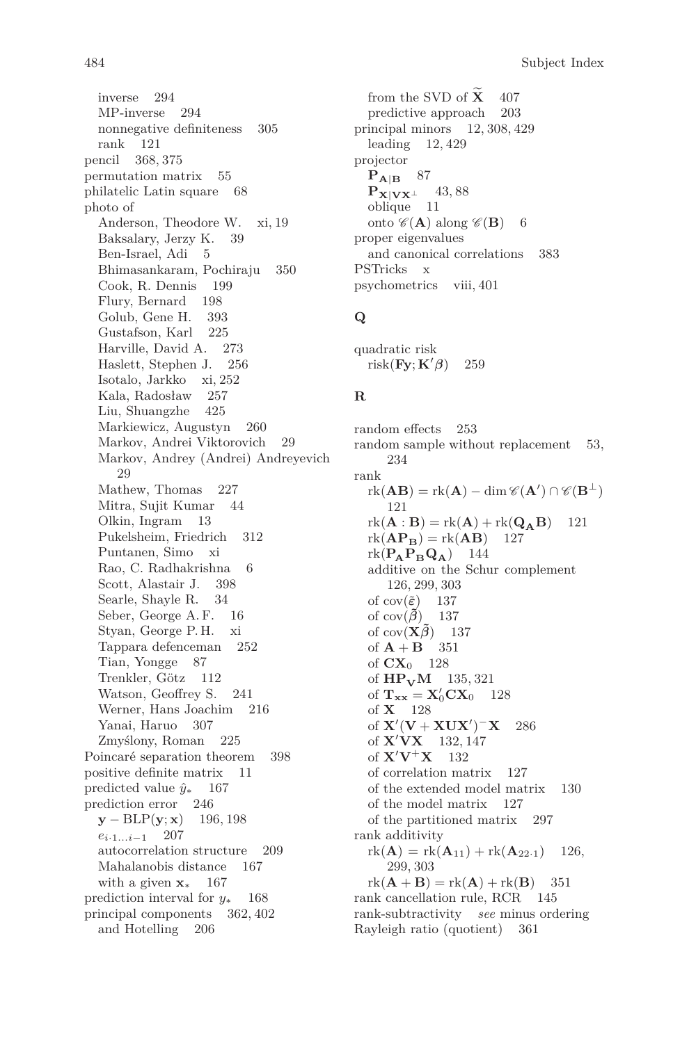484 Subject Index

inverse 294 MP-inverse 294 nonnegative definiteness 305 rank 121 pencil 368, 375 permutation matrix 55 philatelic Latin square 68 photo of Anderson, Theodore W. xi, 19 Baksalary, Jerzy K. 39 Ben-Israel, Adi 5 Bhimasankaram, Pochiraju 350 Cook, R. Dennis 199 Flury, Bernard 198 Golub, Gene H. 393 Gustafson, Karl 225 Harville, David A. 273 Haslett, Stephen J. 256 Isotalo, Jarkko xi, 252 Kala, Radosław 257 Liu, Shuangzhe 425 Markiewicz, Augustyn 260 Markov, Andrei Viktorovich 29 Markov, Andrey (Andrei) Andreyevich 29 Mathew, Thomas 227 Mitra, Sujit Kumar 44 Olkin, Ingram 13 Pukelsheim, Friedrich 312 Puntanen, Simo xi Rao, C. Radhakrishna 6 Scott, Alastair J. 398 Searle, Shayle R. 34 Seber, George A. F. 16 Styan, George P. H. xi Tappara defenceman 252 Tian, Yongge 87 Trenkler, Götz 112 Watson, Geoffrey S. 241 Werner, Hans Joachim 216 Yanai, Haruo 307 Zmyślony, Roman 225 Poincaré separation theorem 398 positive definite matrix 11 predicted value  $\hat{y}_∗$  167 prediction error 246 **y** − BLP(**y**; **x**) 196, 198 *ei*·1*...i*−<sup>1</sup> 207 autocorrelation structure 209 Mahalanobis distance 167 with a given **x**<sup>∗</sup> 167 prediction interval for *y*<sup>∗</sup> 168 principal components 362, 402 and Hotelling 206

from the SVD of  $\widetilde{\mathbf{X}}$  407<br>predictive approach 203 predictive approach principal minors 12, 308, 429 leading 12, 429 projector  $P_{\bf A|B}$  87 **PX**|**VX**⊥ 43,88 oblique 11 onto  $\mathscr{C}(\mathbf{A})$  along  $\mathscr{C}(\mathbf{B})$  6 proper eigenvalues and canonical correlations 383 PSTricks x psychometrics viii, 401

# **Q**

quadratic risk  $risk$ **Fy**; **K**<sup>'</sup> $\beta$ ) 259

## **R**

random effects 253 random sample without replacement 53, 234 rank  $\text{rk}(\mathbf{A}\mathbf{B}) = \text{rk}(\mathbf{A}) - \dim \mathscr{C}(\mathbf{A}') \cap \mathscr{C}(\mathbf{B}^{\perp})$ 121  $rk(\mathbf{A} : \mathbf{B}) = rk(\mathbf{A}) + rk(\mathbf{Q}_{\mathbf{A}}\mathbf{B})$  121<br> $rk(\mathbf{A}\mathbf{P}_{\mathbf{P}}) = rk(\mathbf{A}\mathbf{B})$  127  $rk(\mathbf{AP}_{\mathbf{B}}) = rk(\mathbf{AB})$ <br> $rk(\mathbf{P}_{\mathbf{A}}\mathbf{P}_{\mathbf{B}}\mathbf{Q}_{\mathbf{A}})$  144  $rk(\mathbf{P_A}\mathbf{P_B}\mathbf{Q_A})$ additive on the Schur complement 126, 299, 303 of  $cov(\tilde{\varepsilon})$  137 of cov $(\tilde{\beta})$  137 of cov $(\mathbf{X}\tilde{\boldsymbol{\beta}})$  137 of  $A + B$  351 of **CX**<sup>0</sup> 128 of  $HP_VM$  135, 321 of  $\mathbf{T}_{\mathbf{xx}} = \mathbf{X}'_0 \mathbf{C} \mathbf{X}_0$  128 of **X** 128 of  ${\bf X}'({\bf V} + {\bf XUX}')^{-}{\bf X}$  286 of **X**<sup>0</sup>**VX** 132, 147 of  $X'V+X$  132 of correlation matrix 127 of the extended model matrix 130 of the model matrix 127 of the partitioned matrix 297 rank additivity  $rk(A) = rk(A_{11}) + rk(A_{22\cdot1})$  126, 299, 303  $rk(\mathbf{A} + \mathbf{B}) = rk(\mathbf{A}) + rk(\mathbf{B})$  351 rank cancellation rule, RCR 145 rank-subtractivity *see* minus ordering Rayleigh ratio (quotient) 361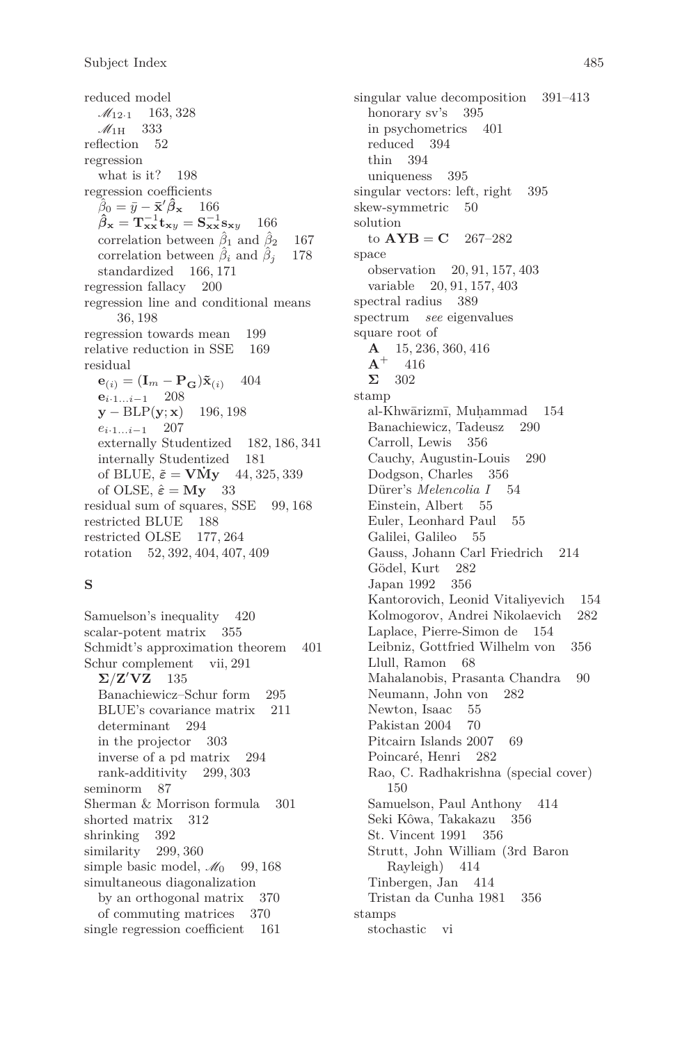reduced model  $M_{12\cdot1}$  163, 328  $M_{1H}$  333 reflection 52 regression what is it? 198 regression coefficients  $\hat{\beta}_0 = \bar{y} - \bar{\mathbf{x}}' \hat{\boldsymbol{\beta}}_{\mathbf{x}}$  166  $\hat{\beta}_{\mathbf{x}} = \mathbf{T}_{\mathbf{x}\mathbf{x}}^{-1} \mathbf{t}_{\mathbf{x}\mathbf{y}} = \mathbf{S}_{\mathbf{x}\mathbf{x}}^{-1} \mathbf{s}_{\mathbf{x}\mathbf{y}}$  166 correlation between  $\hat{\beta}_1$  and  $\hat{\beta}_2$  167 correlation between *β*ˆ*<sup>i</sup>* and *β*ˆ*<sup>j</sup>* 178 standardized 166, 171 regression fallacy 200 regression line and conditional means 36, 198 regression towards mean 199 relative reduction in SSE 169 residual  **404 e***i*·1*...i*−<sup>1</sup> 208 **y** − BLP(**y**; **x**) 196, 198 *ei*·1*...i*−<sup>1</sup> 207 externally Studentized 182, 186, 341 internally Studentized 181 of BLUE,  $\tilde{\varepsilon}$  = **VMy** 44, 325, 339 of OLSE,  $\hat{\varepsilon} = My$  33 residual sum of squares, SSE 99, 168 restricted BLUE 188 restricted OLSE 177, 264 rotation 52, 392, 404, 407, 409

#### **S**

Samuelson's inequality 420 scalar-potent matrix 355 Schmidt's approximation theorem 401 Schur complement vii, 291  $\Sigma/Z'VZ$  135 Banachiewicz–Schur form 295 BLUE's covariance matrix 211 determinant 294 in the projector 303 inverse of a pd matrix 294 rank-additivity 299, 303 seminorm 87 Sherman & Morrison formula 301 shorted matrix 312 shrinking 392 similarity 299, 360 simple basic model,  $\mathcal{M}_0$  99, 168 simultaneous diagonalization by an orthogonal matrix 370 of commuting matrices 370 single regression coefficient 161

singular value decomposition 391–413 honorary sv's 395 in psychometrics 401 reduced 394 thin 394 uniqueness 395 singular vectors: left, right 395 skew-symmetric 50 solution to  $AYB = C$  267–282 space observation 20, 91, 157, 403 variable 20, 91, 157, 403 spectral radius 389 spectrum *see* eigenvalues square root of  $\mathbf{A}$  15, 236, 360, 416<br> $\mathbf{A}$ <sup>+</sup> 416 **A**<sup>+</sup> 416 **Σ** 302 stamp al-Khwārizmī, Muḥammad 154<br>Banachiewicz, Tadeusz 290 Banachiewicz, Tadeusz Carroll, Lewis 356 Cauchy, Augustin-Louis 290 Dodgson, Charles 356 Dürer's *Melencolia I* 54 Einstein, Albert 55 Euler, Leonhard Paul 55 Galilei, Galileo 55 Gauss, Johann Carl Friedrich 214 Gödel, Kurt 282 Japan 1992 356 Kantorovich, Leonid Vitaliyevich 154 Kolmogorov, Andrei Nikolaevich 282 Laplace, Pierre-Simon de 154 Leibniz, Gottfried Wilhelm von 356 Llull, Ramon 68 Mahalanobis, Prasanta Chandra 90 Neumann, John von 282 Newton, Isaac 55 Pakistan 2004 70 Pitcairn Islands 2007 69 Poincaré, Henri 282 Rao, C. Radhakrishna (special cover) 150 Samuelson, Paul Anthony 414 Seki Kôwa, Takakazu 356 St. Vincent 1991 356 Strutt, John William (3rd Baron Rayleigh) 414 Tinbergen, Jan 414 Tristan da Cunha 1981 356 stamps stochastic vi